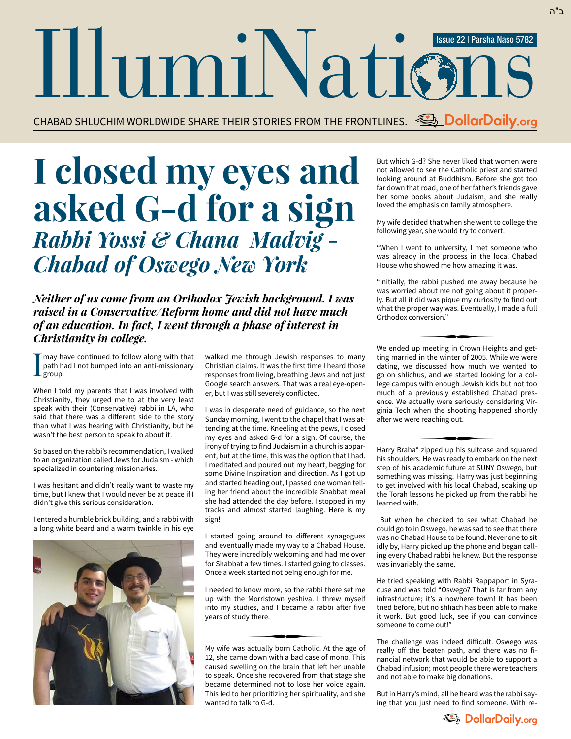IllumiNation Issue 22 | Parsha Naso 5782

CHABAD SHLUCHIM WORLDWIDE SHARE THEIR STORIES FROM THE FRONTLINES. *<u>U. DollarDaily.org</u>* 

## **I closed my eyes and asked G-d for a sign** *Rabbi Yossi & Chana Madvig - Chabad of Oswego New York*

*Neither of us come from an Orthodox Jewish background. I was raised in a Conservative/Reform home and did not have much of an education. In fact, I went through a phase of interest in Christianity in college.*

I may have continued to follow along with that path had I not bumped into an anti-missionary group.

When I told my parents that I was involved with Christianity, they urged me to at the very least speak with their (Conservative) rabbi in LA, who said that there was a different side to the story than what I was hearing with Christianity, but he wasn't the best person to speak to about it.

So based on the rabbi's recommendation, I walked to an organization called Jews for Judaism - which specialized in countering missionaries.

I was hesitant and didn't really want to waste my time, but I knew that I would never be at peace if I didn't give this serious consideration.

I entered a humble brick building, and a rabbi with a long white beard and a warm twinkle in his eye



walked me through Jewish responses to many Christian claims. It was the first time I heard those responses from living, breathing Jews and not just Google search answers. That was a real eye-opener, but I was still severely conflicted.

I was in desperate need of guidance, so the next Sunday morning, I went to the chapel that I was attending at the time. Kneeling at the pews, I closed my eyes and asked G-d for a sign. Of course, the irony of trying to find Judaism in a church is apparent, but at the time, this was the option that I had. I meditated and poured out my heart, begging for some Divine Inspiration and direction. As I got up and started heading out, I passed one woman telling her friend about the incredible Shabbat meal she had attended the day before. I stopped in my tracks and almost started laughing. Here is my sign!

I started going around to different synagogues and eventually made my way to a Chabad House. They were incredibly welcoming and had me over for Shabbat a few times. I started going to classes. Once a week started not being enough for me.

I needed to know more, so the rabbi there set me up with the Morristown yeshiva. I threw myself into my studies, and I became a rabbi after five years of study there.  $\sqrt{2}$  there.

My wife was actually born Catholic. At the age of 12, she came down with a bad case of mono. This caused swelling on the brain that left her unable to speak. Once she recovered from that stage she became determined not to lose her voice again. This led to her prioritizing her spirituality, and she wanted to talk to G-d.

But which G-d? She never liked that women were not allowed to see the Catholic priest and started looking around at Buddhism. Before she got too far down that road, one of her father's friends gave her some books about Judaism, and she really loved the emphasis on family atmosphere.

My wife decided that when she went to college the following year, she would try to convert.

"When I went to university, I met someone who was already in the process in the local Chabad House who showed me how amazing it was.

"Initially, the rabbi pushed me away because he was worried about me not going about it properly. But all it did was pique my curiosity to find out what the proper way was. Eventually, I made a full Orthodox conversion." wersion."<br>■

We ended up meeting in Crown Heights and get ting married in the winter of 2005. While we were dating, we discussed how much we wanted to go on shlichus, and we started looking for a college campus with enough Jewish kids but not too much of a previously established Chabad presence. We actually were seriously considering Virginia Tech when the shooting happened shortly after we were reaching out.<br>————————————————————

Harry Braha\* zipped up his suitcase and squared his shoulders. He was ready to embark on the next step of his academic future at SUNY Oswego, but something was missing. Harry was just beginning to get involved with his local Chabad, soaking up the Torah lessons he picked up from the rabbi he learned with.

 But when he checked to see what Chabad he could go to in Oswego, he was sad to see that there was no Chabad House to be found. Never one to sit idly by, Harry picked up the phone and began calling every Chabad rabbi he knew. But the response was invariably the same.

He tried speaking with Rabbi Rappaport in Syracuse and was told "Oswego? That is far from any infrastructure; it's a nowhere town! It has been tried before, but no shliach has been able to make it work. But good luck, see if you can convince someone to come out!"

The challenge was indeed difficult. Oswego was really off the beaten path, and there was no financial network that would be able to support a Chabad infusion; most people there were teachers and not able to make big donations.

But in Harry's mind, all he heard was the rabbi saying that you just need to find someone. With re-